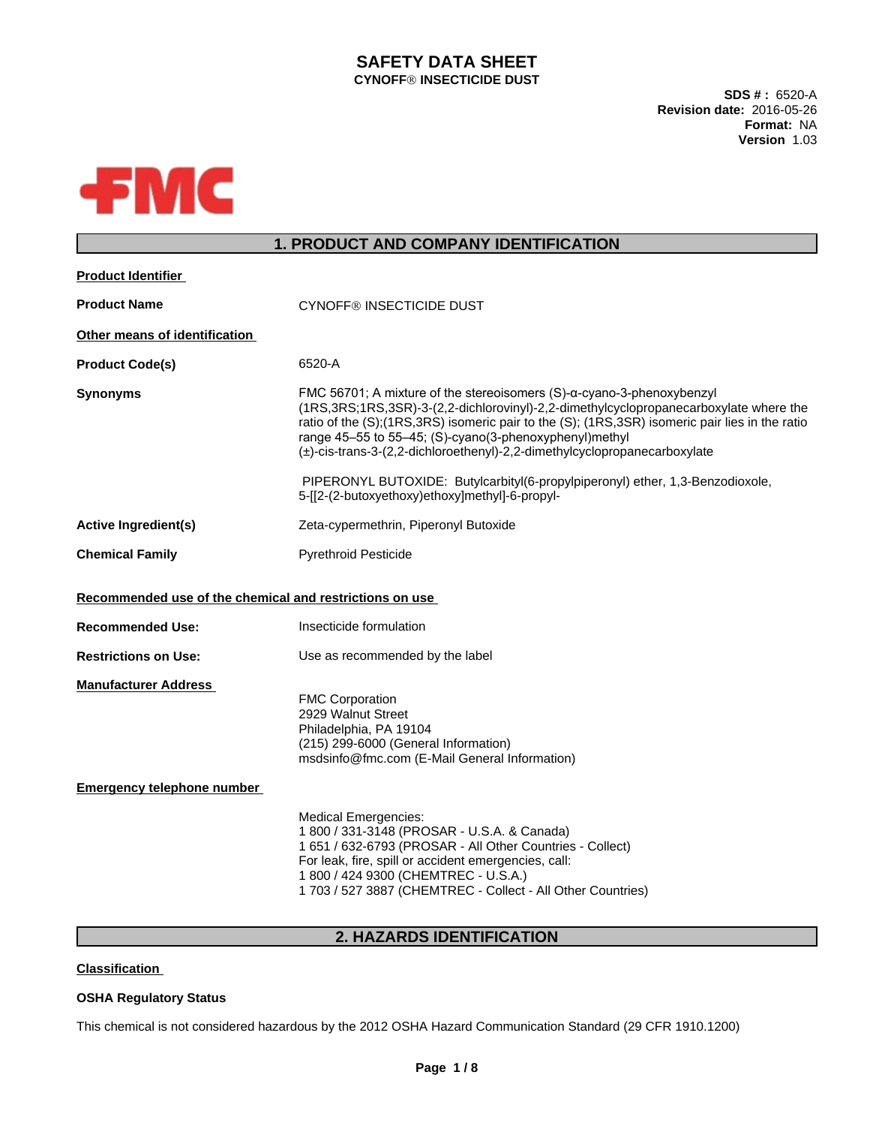### **SAFETY DATA SHEET CYNOFFÒ INSECTICIDE DUST**

**SDS # :** 6520-A **Revision date:** 2016-05-26 **Format:** NA **Version** 1.03



## **1. PRODUCT AND COMPANY IDENTIFICATION**

| <b>Product Identifier</b>                               |                                                                                                                                                                                                                                                                                                                                                                                                                     |
|---------------------------------------------------------|---------------------------------------------------------------------------------------------------------------------------------------------------------------------------------------------------------------------------------------------------------------------------------------------------------------------------------------------------------------------------------------------------------------------|
| <b>Product Name</b>                                     | <b>CYNOFF® INSECTICIDE DUST</b>                                                                                                                                                                                                                                                                                                                                                                                     |
| Other means of identification                           |                                                                                                                                                                                                                                                                                                                                                                                                                     |
| <b>Product Code(s)</b>                                  | 6520-A                                                                                                                                                                                                                                                                                                                                                                                                              |
| <b>Synonyms</b>                                         | FMC 56701; A mixture of the stereoisomers $(S)$ - $\alpha$ -cyano-3-phenoxybenzyl<br>(1RS,3RS;1RS,3SR)-3-(2,2-dichlorovinyl)-2,2-dimethylcyclopropanecarboxylate where the<br>ratio of the (S);(1RS,3RS) isomeric pair to the (S); (1RS,3SR) isomeric pair lies in the ratio<br>range 45-55 to 55-45; (S)-cyano(3-phenoxyphenyl)methyl<br>(±)-cis-trans-3-(2,2-dichloroethenyl)-2,2-dimethylcyclopropanecarboxylate |
|                                                         | PIPERONYL BUTOXIDE: Butylcarbityl(6-propylpiperonyl) ether, 1,3-Benzodioxole,<br>5-[[2-(2-butoxyethoxy)ethoxy]methyl]-6-propyl-                                                                                                                                                                                                                                                                                     |
| <b>Active Ingredient(s)</b>                             | Zeta-cypermethrin, Piperonyl Butoxide                                                                                                                                                                                                                                                                                                                                                                               |
| <b>Chemical Family</b>                                  | <b>Pyrethroid Pesticide</b>                                                                                                                                                                                                                                                                                                                                                                                         |
| Recommended use of the chemical and restrictions on use |                                                                                                                                                                                                                                                                                                                                                                                                                     |
| <b>Recommended Use:</b>                                 | Insecticide formulation                                                                                                                                                                                                                                                                                                                                                                                             |
| <b>Restrictions on Use:</b>                             | Use as recommended by the label                                                                                                                                                                                                                                                                                                                                                                                     |
| <b>Manufacturer Address</b>                             | <b>FMC Corporation</b><br>2929 Walnut Street<br>Philadelphia, PA 19104<br>(215) 299-6000 (General Information)<br>msdsinfo@fmc.com (E-Mail General Information)                                                                                                                                                                                                                                                     |
| <b>Emergency telephone number</b>                       |                                                                                                                                                                                                                                                                                                                                                                                                                     |
|                                                         | <b>Medical Emergencies:</b><br>1 800 / 331-3148 (PROSAR - U.S.A. & Canada)<br>1 651 / 632-6793 (PROSAR - All Other Countries - Collect)<br>For leak, fire, spill or accident emergencies, call:<br>1 800 / 424 9300 (CHEMTREC - U.S.A.)<br>1 703 / 527 3887 (CHEMTREC - Collect - All Other Countries)                                                                                                              |

## **2. HAZARDS IDENTIFICATION**

### **Classification**

## **OSHA Regulatory Status**

This chemical is not considered hazardous by the 2012 OSHA Hazard Communication Standard (29 CFR 1910.1200)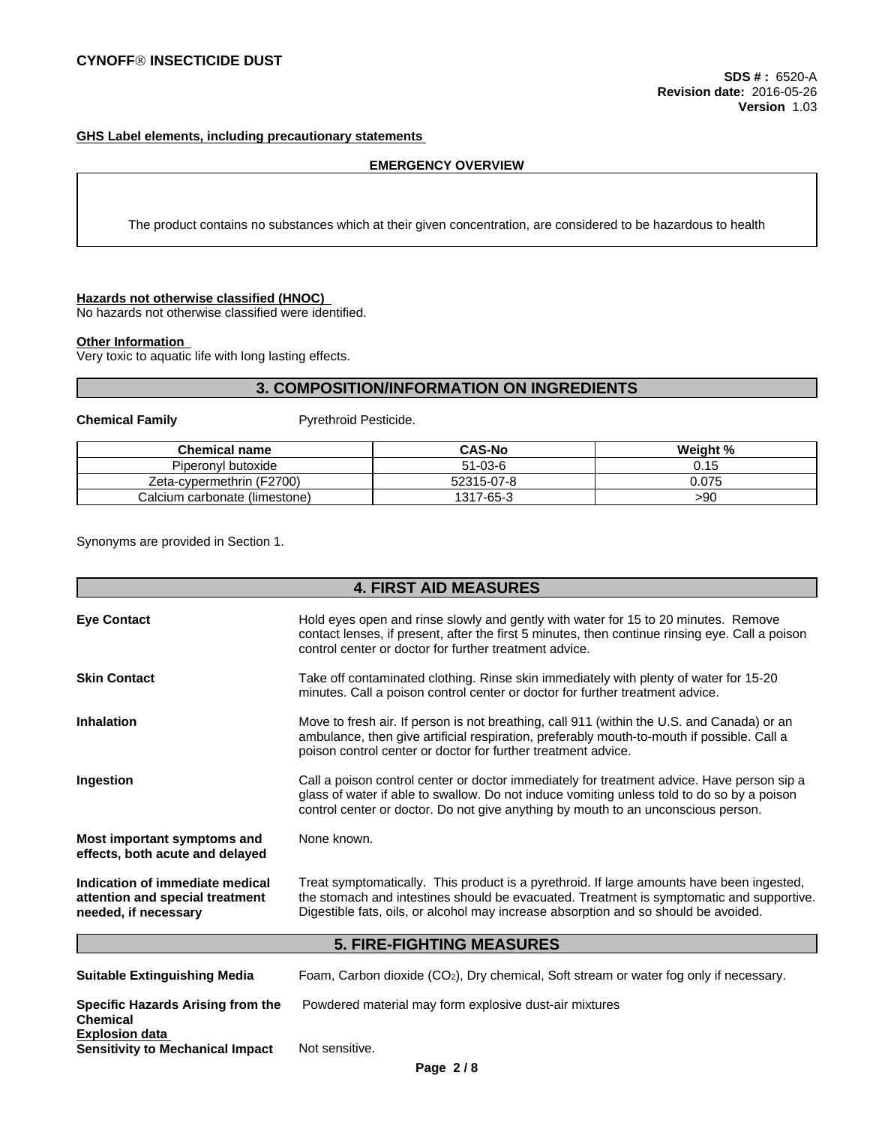### **GHS Label elements, including precautionary statements**

#### **EMERGENCY OVERVIEW**

The product contains no substances which at their given concentration, are considered to be hazardous to health

### **Hazards not otherwise classified (HNOC)**

No hazards not otherwise classified were identified.

#### **Other Information**

Very toxic to aquatic life with long lasting effects.

### **3. COMPOSITION/INFORMATION ON INGREDIENTS**

**Chemical Family Pyrethroid Pesticide.** 

| <b>Chemical name</b>           | <b>CAS-No</b> | Weight %                    |
|--------------------------------|---------------|-----------------------------|
| Piperonyl butoxide             | $51-03-6$     | . <i>.</i> .<br><b>v.iv</b> |
| (F2700)<br>Zeta-cypermethrin ( | 52315-07-8    | 0.075                       |
| Calcium carbonate (limestone)  | 1317-65-3     | >90                         |

Synonyms are provided in Section 1.

|                                                                                            | <b>4. FIRST AID MEASURES</b>                                                                                                                                                                                                                                                  |
|--------------------------------------------------------------------------------------------|-------------------------------------------------------------------------------------------------------------------------------------------------------------------------------------------------------------------------------------------------------------------------------|
| <b>Eye Contact</b>                                                                         | Hold eyes open and rinse slowly and gently with water for 15 to 20 minutes. Remove<br>contact lenses, if present, after the first 5 minutes, then continue rinsing eye. Call a poison<br>control center or doctor for further treatment advice.                               |
| <b>Skin Contact</b>                                                                        | Take off contaminated clothing. Rinse skin immediately with plenty of water for 15-20<br>minutes. Call a poison control center or doctor for further treatment advice.                                                                                                        |
| <b>Inhalation</b>                                                                          | Move to fresh air. If person is not breathing, call 911 (within the U.S. and Canada) or an<br>ambulance, then give artificial respiration, preferably mouth-to-mouth if possible. Call a<br>poison control center or doctor for further treatment advice.                     |
| Ingestion                                                                                  | Call a poison control center or doctor immediately for treatment advice. Have person sip a<br>glass of water if able to swallow. Do not induce vomiting unless told to do so by a poison<br>control center or doctor. Do not give anything by mouth to an unconscious person. |
| Most important symptoms and<br>effects, both acute and delayed                             | None known.                                                                                                                                                                                                                                                                   |
| Indication of immediate medical<br>attention and special treatment<br>needed, if necessary | Treat symptomatically. This product is a pyrethroid. If large amounts have been ingested,<br>the stomach and intestines should be evacuated. Treatment is symptomatic and supportive.<br>Digestible fats, oils, or alcohol may increase absorption and so should be avoided.  |
|                                                                                            | <b>5. FIRE-FIGHTING MEASURES</b>                                                                                                                                                                                                                                              |
| <b>Suitable Extinguishing Media</b>                                                        | Foam, Carbon dioxide (CO <sub>2</sub> ), Dry chemical, Soft stream or water fog only if necessary.                                                                                                                                                                            |
| <b>Specific Hazards Arising from the</b><br><b>Chemical</b><br><b>Explosion data</b>       | Powdered material may form explosive dust-air mixtures                                                                                                                                                                                                                        |
| <b>Sensitivity to Mechanical Impact</b>                                                    | Not sensitive.                                                                                                                                                                                                                                                                |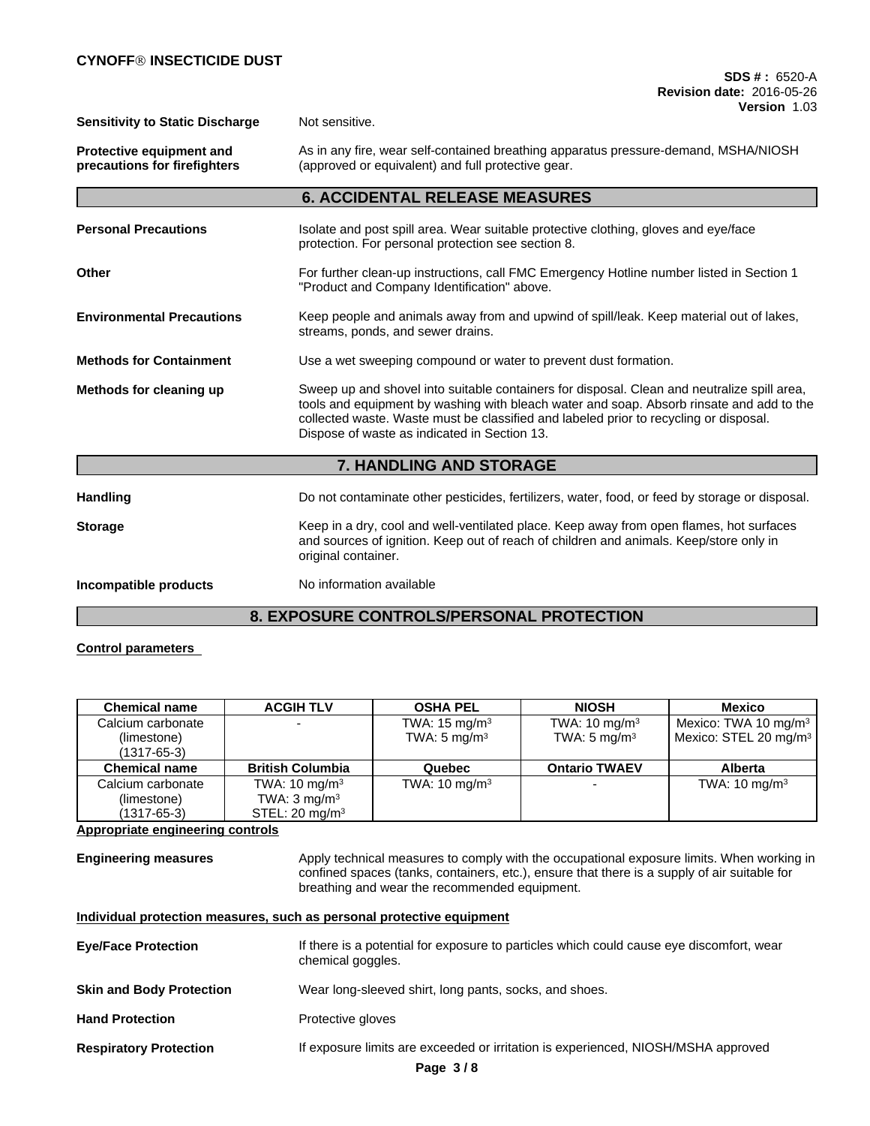**Sensitivity to Static Discharge** Not sensitive.

**Protective equipment and precautions for firefighters** As in any fire, wear self-contained breathing apparatus pressure-demand, MSHA/NIOSH (approved or equivalent) and full protective gear.

|                      | <b>6. ACCIDENTAL RELEASE MEASURES</b>                                                                                                     |
|----------------------|-------------------------------------------------------------------------------------------------------------------------------------------|
| Personal Precautions | Isolate and post spill area. Wear suitable protective clothing, gloves and eye/face<br>protection. For personal protection see section 8. |
| Other                | For further clean-up instructions, call FMC Emergency Hotline number listed in Section 1<br>"Product and Company Identification" above.   |

**6. ACCIDENTAL RELEASE MEASURES**

## **Environmental Precautions** Keep people and animals away from and upwind of spill/leak. Keep material out of lakes, streams, ponds, and sewer drains.

**Methods for Containment** Use a wet sweeping compound or water to prevent dust formation.

# **Methods for cleaning up** Sweep up and shovel into suitable containers for disposal. Clean and neutralize spill area, tools and equipment by washing with bleach water and soap. Absorb rinsate and add to the collected waste. Waste must be classified and labeled prior to recycling or disposal.<br>Dispose of waste as indicated in Section 13.

**7. HANDLING AND STORAGE**

| <b>Handling</b>       | Do not contaminate other pesticides, fertilizers, water, food, or feed by storage or disposal.                                                                                                           |
|-----------------------|----------------------------------------------------------------------------------------------------------------------------------------------------------------------------------------------------------|
| <b>Storage</b>        | Keep in a dry, cool and well-ventilated place. Keep away from open flames, hot surfaces<br>and sources of ignition. Keep out of reach of children and animals. Keep/store only in<br>original container. |
| Incompatible products | No information available                                                                                                                                                                                 |

# **8. EXPOSURE CONTROLS/PERSONAL PROTECTION**

### **Control parameters**

| <b>Chemical name</b>             | <b>ACGIH TLV</b>          | <b>OSHA PEL</b>                                     | <b>NIOSH</b>                                         | Mexico                                                                |
|----------------------------------|---------------------------|-----------------------------------------------------|------------------------------------------------------|-----------------------------------------------------------------------|
| Calcium carbonate<br>(limestone) |                           | TWA: $15 \text{ mg/m}^3$<br>TWA: $5 \text{ mg/m}^3$ | TWA: $10 \text{ mg/m}^3$<br>TWA: 5 mg/m <sup>3</sup> | Mexico: TWA 10 mg/m <sup>3</sup><br>Mexico: STEL 20 mg/m <sup>3</sup> |
| $(1317 - 65 - 3)$                |                           |                                                     |                                                      |                                                                       |
| <b>Chemical name</b>             | <b>British Columbia</b>   | Quebec                                              | <b>Ontario TWAEV</b>                                 | <b>Alberta</b>                                                        |
| Calcium carbonate                | TWA: $10 \text{ mg/m}^3$  | TWA: $10 \text{ mg/m}^3$                            | $\overline{\phantom{0}}$                             | TWA: $10 \text{ mg/m}^3$                                              |
| (limestone)                      | TWA: $3 \text{ mg/m}^3$   |                                                     |                                                      |                                                                       |
| $(1317 - 65 - 3)$                | STEL: $20 \text{ mg/m}^3$ |                                                     |                                                      |                                                                       |

### **Appropriate engineering controls**

**Engineering measures** Apply technical measures to comply with the occupational exposure limits. When working in confined spaces (tanks, containers, etc.), ensure that there is a supply of air suitable for breathing and wear the recommended equipment.

|  |  | Individual protection measures, such as personal protective equipment |  |
|--|--|-----------------------------------------------------------------------|--|
|  |  |                                                                       |  |

| <b>Eye/Face Protection</b>      | If there is a potential for exposure to particles which could cause eye discomfort, wear<br>chemical goggles. |
|---------------------------------|---------------------------------------------------------------------------------------------------------------|
| <b>Skin and Body Protection</b> | Wear long-sleeved shirt, long pants, socks, and shoes.                                                        |
| <b>Hand Protection</b>          | Protective gloves                                                                                             |

**Respiratory Protection** If exposure limits are exceeded or irritation is experienced, NIOSH/MSHA approved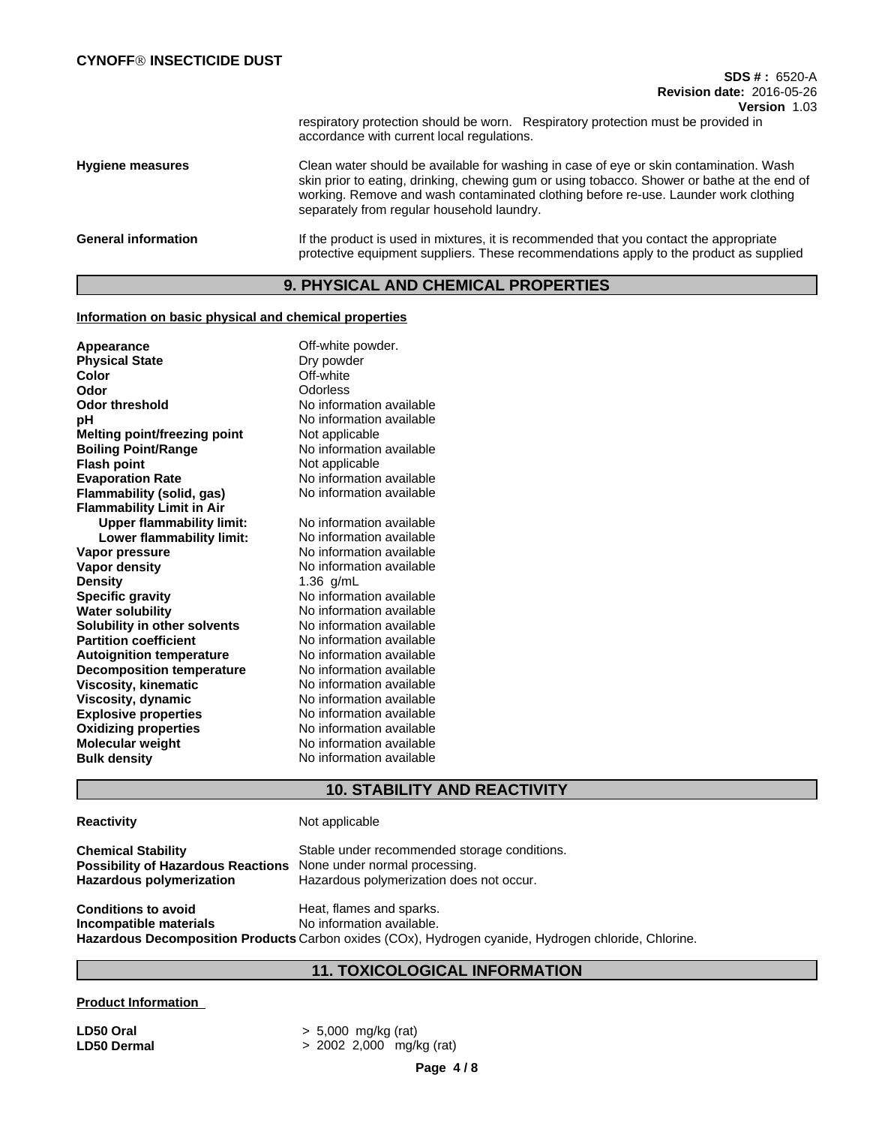respiratory protection should be worn. Respiratory protection must be provided in accordance with current local regulations.

**Hygiene measures** Clean water should be available for washing in case of eye or skin contamination. Wash skin prior to eating, drinking, chewing gum or using tobacco. Shower or bathe at the end of working. Remove and wash contaminated clothing before re-use. Launder work clothing separately from regular household laundry.

### General information **If the product is used in mixtures**, it is recommended that you contact the appropriate protective equipment suppliers. These recommendations apply to the product as supplied

## **9. PHYSICAL AND CHEMICAL PROPERTIES**

#### **Information on basic physical and chemical properties**

| Appearance                          | Off-white powder.        |
|-------------------------------------|--------------------------|
| <b>Physical State</b>               | Dry powder               |
| Color                               | Off-white                |
| Odor                                | Odorless                 |
| <b>Odor threshold</b>               | No information available |
| рH                                  | No information available |
| <b>Melting point/freezing point</b> | Not applicable           |
| <b>Boiling Point/Range</b>          | No information available |
| <b>Flash point</b>                  | Not applicable           |
| <b>Evaporation Rate</b>             | No information available |
| Flammability (solid, gas)           | No information available |
| <b>Flammability Limit in Air</b>    |                          |
| <b>Upper flammability limit:</b>    | No information available |
| Lower flammability limit:           | No information available |
| Vapor pressure                      | No information available |
| Vapor density                       | No information available |
| <b>Density</b>                      | 1.36 $g/mL$              |
| <b>Specific gravity</b>             | No information available |
| <b>Water solubility</b>             | No information available |
| Solubility in other solvents        | No information available |
| <b>Partition coefficient</b>        | No information available |
| <b>Autoignition temperature</b>     | No information available |
| <b>Decomposition temperature</b>    | No information available |
| <b>Viscosity, kinematic</b>         | No information available |
| Viscosity, dynamic                  | No information available |
| <b>Explosive properties</b>         | No information available |
| <b>Oxidizing properties</b>         | No information available |
| <b>Molecular weight</b>             | No information available |
| <b>Bulk density</b>                 | No information available |
|                                     |                          |

## **10. STABILITY AND REACTIVITY**

# **Reactivity** Not applicable **Chemical Stability** Stable under recommended storage conditions. **Possibility of Hazardous Reactions** None under normal processing. **Hazardous polymerization** Hazardous polymerization does not occur. **Conditions to avoid Heat, flames and sparks. Incompatible materials** No information available. **Hazardous Decomposition Products** Carbon oxides (COx), Hydrogen cyanide, Hydrogen chloride, Chlorine.

# **11. TOXICOLOGICAL INFORMATION**

### **Product Information**

**LD50 Oral** > 5,000 mg/kg (rat) **LD50 Dermal** > 2002 2,000 mg/kg (rat)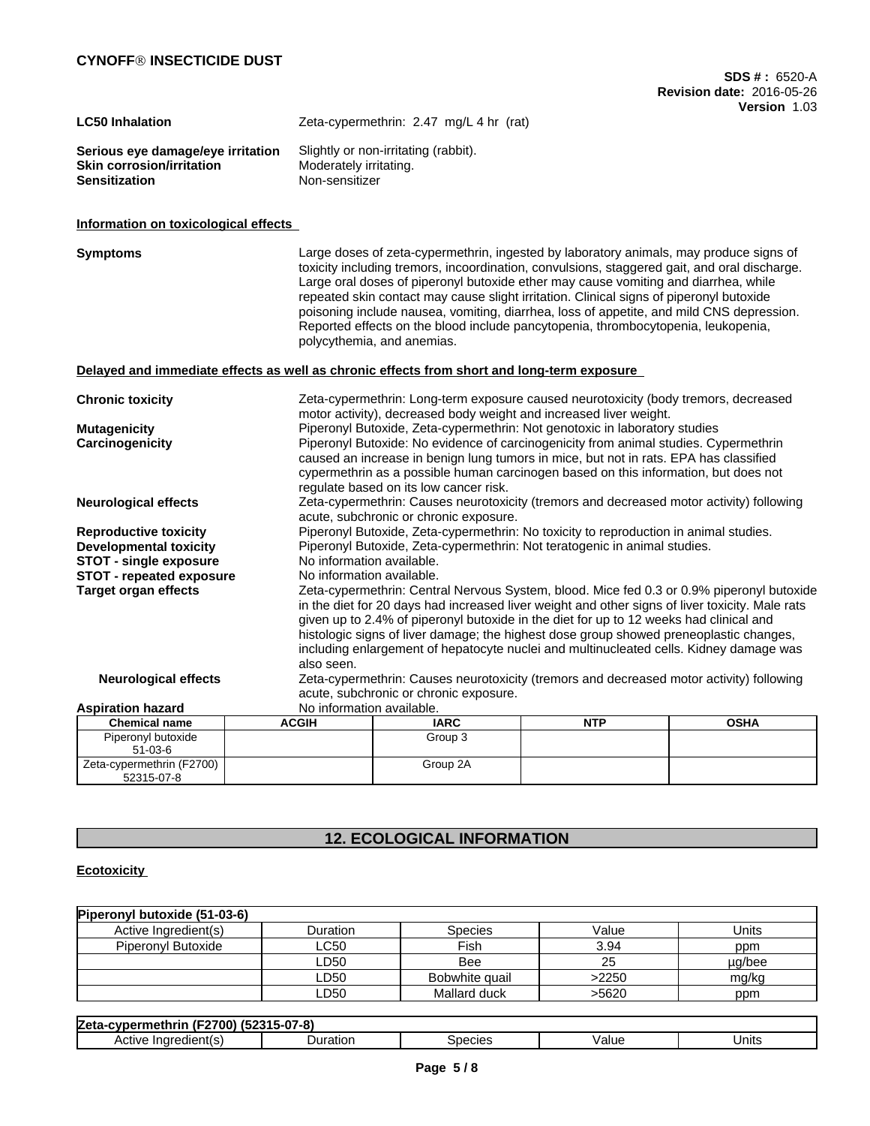| <b>LC50 Inhalation</b>            | Zeta-cypermethrin: 2.47 mg/L 4 hr (rat) |
|-----------------------------------|-----------------------------------------|
| Serious eye damage/eye irritation | Slightly or non-irritating (rabbit).    |
| <b>Skin corrosion/irritation</b>  | Moderately irritating.                  |
| <b>Sensitization</b>              | Non-sensitizer                          |

### **Information on toxicological effects**

| <b>Symptoms</b>                 |                                                                                            | Large doses of zeta-cypermethrin, ingested by laboratory animals, may produce signs of<br>toxicity including tremors, incoordination, convulsions, staggered gait, and oral discharge.<br>Large oral doses of piperonyl butoxide ether may cause vomiting and diarrhea, while<br>repeated skin contact may cause slight irritation. Clinical signs of piperonyl butoxide<br>poisoning include nausea, vomiting, diarrhea, loss of appetite, and mild CNS depression.<br>Reported effects on the blood include pancytopenia, thrombocytopenia, leukopenia,<br>polycythemia, and anemias. |            |                                                                                     |  |  |  |
|---------------------------------|--------------------------------------------------------------------------------------------|-----------------------------------------------------------------------------------------------------------------------------------------------------------------------------------------------------------------------------------------------------------------------------------------------------------------------------------------------------------------------------------------------------------------------------------------------------------------------------------------------------------------------------------------------------------------------------------------|------------|-------------------------------------------------------------------------------------|--|--|--|
|                                 | Delayed and immediate effects as well as chronic effects from short and long-term exposure |                                                                                                                                                                                                                                                                                                                                                                                                                                                                                                                                                                                         |            |                                                                                     |  |  |  |
| <b>Chronic toxicity</b>         |                                                                                            | motor activity), decreased body weight and increased liver weight.                                                                                                                                                                                                                                                                                                                                                                                                                                                                                                                      |            | Zeta-cypermethrin: Long-term exposure caused neurotoxicity (body tremors, decreased |  |  |  |
| <b>Mutagenicity</b>             |                                                                                            | Piperonyl Butoxide, Zeta-cypermethrin: Not genotoxic in laboratory studies                                                                                                                                                                                                                                                                                                                                                                                                                                                                                                              |            |                                                                                     |  |  |  |
| Carcinogenicity                 |                                                                                            | Piperonyl Butoxide: No evidence of carcinogenicity from animal studies. Cypermethrin<br>caused an increase in benign lung tumors in mice, but not in rats. EPA has classified<br>cypermethrin as a possible human carcinogen based on this information, but does not<br>regulate based on its low cancer risk.                                                                                                                                                                                                                                                                          |            |                                                                                     |  |  |  |
| <b>Neurological effects</b>     |                                                                                            | Zeta-cypermethrin: Causes neurotoxicity (tremors and decreased motor activity) following<br>acute, subchronic or chronic exposure.                                                                                                                                                                                                                                                                                                                                                                                                                                                      |            |                                                                                     |  |  |  |
| <b>Reproductive toxicity</b>    |                                                                                            | Piperonyl Butoxide, Zeta-cypermethrin: No toxicity to reproduction in animal studies.                                                                                                                                                                                                                                                                                                                                                                                                                                                                                                   |            |                                                                                     |  |  |  |
| <b>Developmental toxicity</b>   |                                                                                            | Piperonyl Butoxide, Zeta-cypermethrin: Not teratogenic in animal studies.                                                                                                                                                                                                                                                                                                                                                                                                                                                                                                               |            |                                                                                     |  |  |  |
| <b>STOT - single exposure</b>   |                                                                                            | No information available.                                                                                                                                                                                                                                                                                                                                                                                                                                                                                                                                                               |            |                                                                                     |  |  |  |
| <b>STOT - repeated exposure</b> |                                                                                            | No information available.                                                                                                                                                                                                                                                                                                                                                                                                                                                                                                                                                               |            |                                                                                     |  |  |  |
| <b>Target organ effects</b>     | also seen.                                                                                 | Zeta-cypermethrin: Central Nervous System, blood. Mice fed 0.3 or 0.9% piperonyl butoxide<br>in the diet for 20 days had increased liver weight and other signs of liver toxicity. Male rats<br>given up to 2.4% of piperonyl butoxide in the diet for up to 12 weeks had clinical and<br>histologic signs of liver damage; the highest dose group showed preneoplastic changes,<br>including enlargement of hepatocyte nuclei and multinucleated cells. Kidney damage was                                                                                                              |            |                                                                                     |  |  |  |
| <b>Neurological effects</b>     |                                                                                            | Zeta-cypermethrin: Causes neurotoxicity (tremors and decreased motor activity) following                                                                                                                                                                                                                                                                                                                                                                                                                                                                                                |            |                                                                                     |  |  |  |
|                                 |                                                                                            | acute, subchronic or chronic exposure.                                                                                                                                                                                                                                                                                                                                                                                                                                                                                                                                                  |            |                                                                                     |  |  |  |
| <b>Aspiration hazard</b>        | No information available.                                                                  |                                                                                                                                                                                                                                                                                                                                                                                                                                                                                                                                                                                         |            |                                                                                     |  |  |  |
| <b>Chemical name</b>            | <b>ACGIH</b>                                                                               | <b>IARC</b>                                                                                                                                                                                                                                                                                                                                                                                                                                                                                                                                                                             | <b>NTP</b> | <b>OSHA</b>                                                                         |  |  |  |
| Piperonyl butoxide              |                                                                                            | Group 3                                                                                                                                                                                                                                                                                                                                                                                                                                                                                                                                                                                 |            |                                                                                     |  |  |  |
| $51 - 03 - 6$                   |                                                                                            |                                                                                                                                                                                                                                                                                                                                                                                                                                                                                                                                                                                         |            |                                                                                     |  |  |  |
| Zeta-cypermethrin (F2700)       |                                                                                            | Group 2A                                                                                                                                                                                                                                                                                                                                                                                                                                                                                                                                                                                |            |                                                                                     |  |  |  |

# **12. ECOLOGICAL INFORMATION**

## **Ecotoxicity**

52315-07-8

| Piperonyl butoxide (51-03-6) |            |                |       |        |
|------------------------------|------------|----------------|-------|--------|
| Active Ingredient(s)         | Duration   | Species        | Value | Units  |
| Piperonyl Butoxide           | ∟C50       | Fish           | 3.94  | ppm    |
|                              | LD50       | Bee            | 25    | µg/bee |
|                              | -D50       | Bobwhite quail | >2250 | mg/kg  |
|                              | <b>D50</b> | Mallard duck   | >5620 | ppm    |

| <br>700)<br><b>Zeta</b><br>"<br><b>ALL EM</b><br>''''<br>37 | $\sim$<br>$\mathbf{C}$<br>- -<br>'−о.<br>ч, |                               |       |       |
|-------------------------------------------------------------|---------------------------------------------|-------------------------------|-------|-------|
| --<br>ı٢<br>ACTIVE<br>ш<br>---                              | Juratior                                    | maxima<br>$\overline{\cdots}$ | Value | Units |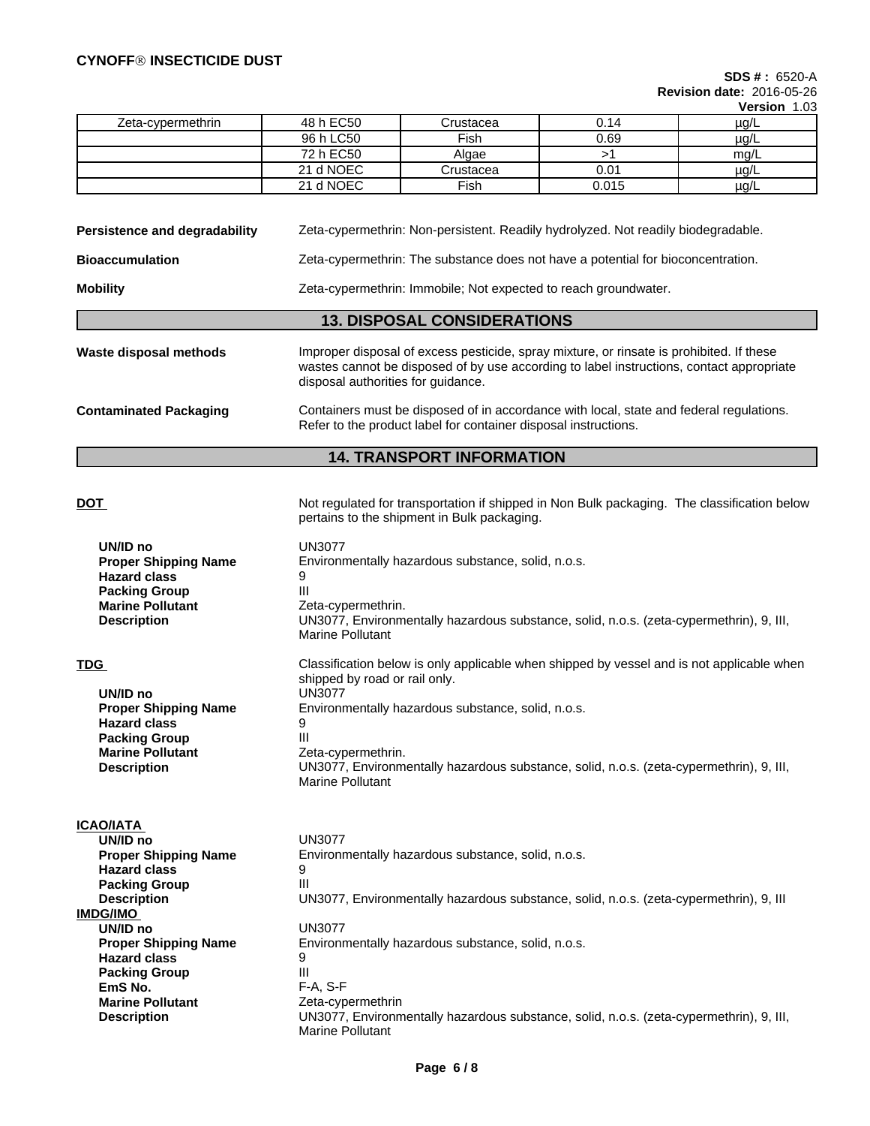**SDS # :** 6520-A **Revision date:** 2016-05-26

**Version** 1.03

|                   |           |           |       | V         |
|-------------------|-----------|-----------|-------|-----------|
| Zeta-cypermethrin | 48 h EC50 | Crustacea | 0.14  | $\mu$ g/L |
|                   | 96 h LC50 | Fish      | 0.69  | $\mu$ g/L |
|                   | 72 h EC50 | Algae     |       | mg/L      |
|                   | 21 d NOEC | Crustacea | 0.01  | $\mu$ g/L |
|                   | 21 d NOEC | Fish      | 0.015 | $\mu$ g/L |

**Persistence and degradability** Zeta-cypermethrin: Non-persistent. Readily hydrolyzed. Not readily biodegradable.

**Bioaccumulation** Zeta-cypermethrin: The substance does not have a potential for bioconcentration.

**Mobility** Mobility **Zeta-cypermethrin: Immobile; Not expected to reach groundwater.** 

- **13. DISPOSAL CONSIDERATIONS**
- **Waste disposal methods** Improper disposal of excess pesticide, spray mixture, or rinsate is prohibited. If these wastes cannot be disposed of by use according to label instructions, contact appropriate disposal authorities for guidance.

**Contaminated Packaging** Containers must be disposed of in accordance with local, state and federal regulations. Refer to the product label for container disposal instructions.

pertains to the shipment in Bulk packaging.

## **14. TRANSPORT INFORMATION**

### **DOT Not regulated for transportation if shipped in Non Bulk packaging. The classification below**

| UN/ID no<br><b>Proper Shipping Name</b><br><b>Hazard class</b><br><b>Packing Group</b><br><b>Marine Pollutant</b><br><b>Description</b>        | <b>UN3077</b><br>Environmentally hazardous substance, solid, n.o.s.<br>9<br>III<br>Zeta-cypermethrin.<br>UN3077, Environmentally hazardous substance, solid, n.o.s. (zeta-cypermethrin), 9, III,<br><b>Marine Pollutant</b>                                                                                                                             |
|------------------------------------------------------------------------------------------------------------------------------------------------|---------------------------------------------------------------------------------------------------------------------------------------------------------------------------------------------------------------------------------------------------------------------------------------------------------------------------------------------------------|
| TDG<br>UN/ID no<br><b>Proper Shipping Name</b><br><b>Hazard class</b><br><b>Packing Group</b><br><b>Marine Pollutant</b><br><b>Description</b> | Classification below is only applicable when shipped by vessel and is not applicable when<br>shipped by road or rail only.<br><b>UN3077</b><br>Environmentally hazardous substance, solid, n.o.s.<br>9<br>Ш<br>Zeta-cypermethrin.<br>UN3077, Environmentally hazardous substance, solid, n.o.s. (zeta-cypermethrin), 9, III,<br><b>Marine Pollutant</b> |
| ICAO/IATA                                                                                                                                      |                                                                                                                                                                                                                                                                                                                                                         |
| UN/ID no                                                                                                                                       | <b>UN3077</b>                                                                                                                                                                                                                                                                                                                                           |
| <b>Proper Shipping Name</b>                                                                                                                    | Environmentally hazardous substance, solid, n.o.s.                                                                                                                                                                                                                                                                                                      |
| <b>Hazard class</b>                                                                                                                            | 9                                                                                                                                                                                                                                                                                                                                                       |
| <b>Packing Group</b>                                                                                                                           | III                                                                                                                                                                                                                                                                                                                                                     |
| <b>Description</b>                                                                                                                             | UN3077, Environmentally hazardous substance, solid, n.o.s. (zeta-cypermethrin), 9, III                                                                                                                                                                                                                                                                  |
| IMDG/IMO                                                                                                                                       |                                                                                                                                                                                                                                                                                                                                                         |
| UN/ID no                                                                                                                                       | <b>UN3077</b>                                                                                                                                                                                                                                                                                                                                           |
| <b>Proper Shipping Name</b>                                                                                                                    | Environmentally hazardous substance, solid, n.o.s.                                                                                                                                                                                                                                                                                                      |
| <b>Hazard class</b>                                                                                                                            | 9                                                                                                                                                                                                                                                                                                                                                       |
| <b>Packing Group</b>                                                                                                                           | III                                                                                                                                                                                                                                                                                                                                                     |
| EmS No.                                                                                                                                        | $F-A, S-F$                                                                                                                                                                                                                                                                                                                                              |
| <b>Marine Pollutant</b>                                                                                                                        | Zeta-cypermethrin                                                                                                                                                                                                                                                                                                                                       |
| <b>Description</b>                                                                                                                             | UN3077, Environmentally hazardous substance, solid, n.o.s. (zeta-cypermethrin), 9, III,<br><b>Marine Pollutant</b>                                                                                                                                                                                                                                      |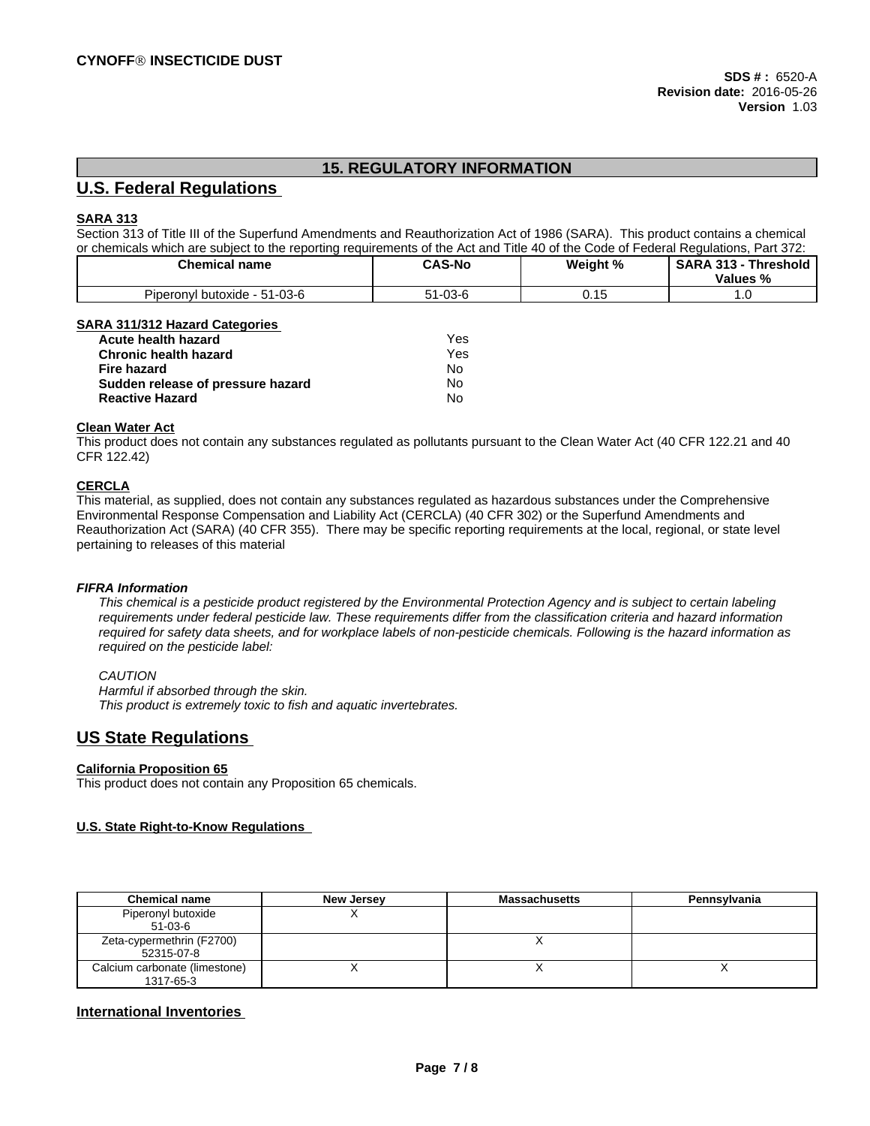# **15. REGULATORY INFORMATION**

## **U.S. Federal Regulations**

#### **SARA 313**

Section 313 of Title III of the Superfund Amendments and Reauthorization Act of 1986 (SARA). This product contains a chemical or chemicals which are subject to the reporting requirements of the Act and Title 40 of the Code of Federal Regulations, Part 372:

| Chemical name                                      | <b>CAS-No</b> | Weight %    | Threshold<br><b>SARA 313</b><br>. JIJ<br>Values % |
|----------------------------------------------------|---------------|-------------|---------------------------------------------------|
| - -<br>, - 51-03-6<br><b>Piperonvi</b><br>butoxide | $51 - 03 - 6$ | <b>v.iv</b> | . נ                                               |

#### **SARA 311/312 Hazard Categories**

| <b>Acute health hazard</b>        | Yes |
|-----------------------------------|-----|
| <b>Chronic health hazard</b>      | Yes |
| Fire hazard                       | N٥  |
| Sudden release of pressure hazard | No  |
| <b>Reactive Hazard</b>            | N٥  |

#### **Clean Water Act**

This product does not contain any substances regulated as pollutants pursuant to the Clean Water Act (40 CFR 122.21 and 40 CFR 122.42)

### **CERCLA**

This material, as supplied, does not contain any substances regulated as hazardous substances under the Comprehensive Environmental Response Compensation and Liability Act (CERCLA) (40 CFR 302) or the Superfund Amendments and Reauthorization Act (SARA) (40 CFR 355). There may be specific reporting requirements at the local, regional, or state level pertaining to releases of this material

#### *FIFRA Information*

This chemical is a pesticide product registered by the Environmental Protection Agency and is subject to certain labeling requirements under federal pesticide law. These requirements differ from the classification criteria and hazard information required for safety data sheets, and for workplace labels of non-pesticide chemicals. Following is the hazard information as *required on the pesticide label:*

#### *CAUTION*

*Harmful if absorbed through the skin. This product is extremely toxic to fish and aquatic invertebrates.*

# **US State Regulations**

#### **California Proposition 65**

This product does not contain any Proposition 65 chemicals.

#### **U.S. State Right-to-Know Regulations**

| <b>Chemical name</b>                       | New Jersey | <b>Massachusetts</b> | Pennsylvania |
|--------------------------------------------|------------|----------------------|--------------|
| Piperonyl butoxide<br>$51-03-6$            |            |                      |              |
| Zeta-cypermethrin (F2700)<br>52315-07-8    |            |                      |              |
| Calcium carbonate (limestone)<br>1317-65-3 |            |                      |              |

### **International Inventories**